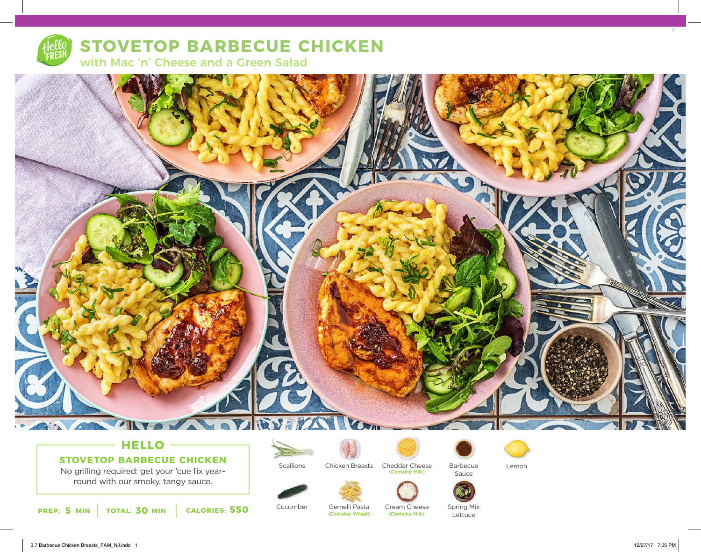

# **STOVETOP BARBECUE CHICKEN**

with Mac 'n' Cheese and a Green Salad



## **HELLO**

**STOVETOP BARBECUE CHICKEN**

No grilling required: get your 'cue fix yearround with our smoky, tangy sauce.

**5 30 550 PREP: MIN TOTAL: MIN CALORIES:**



Cucumber



Gemelli Pasta

(Contains: Wheat)

Chicken Breasts Cheddar Cheese

Cream Cheese<br>(Contains: Milk)

(Contains: Milk)









Sauce



Spring Mix Lettuce

7